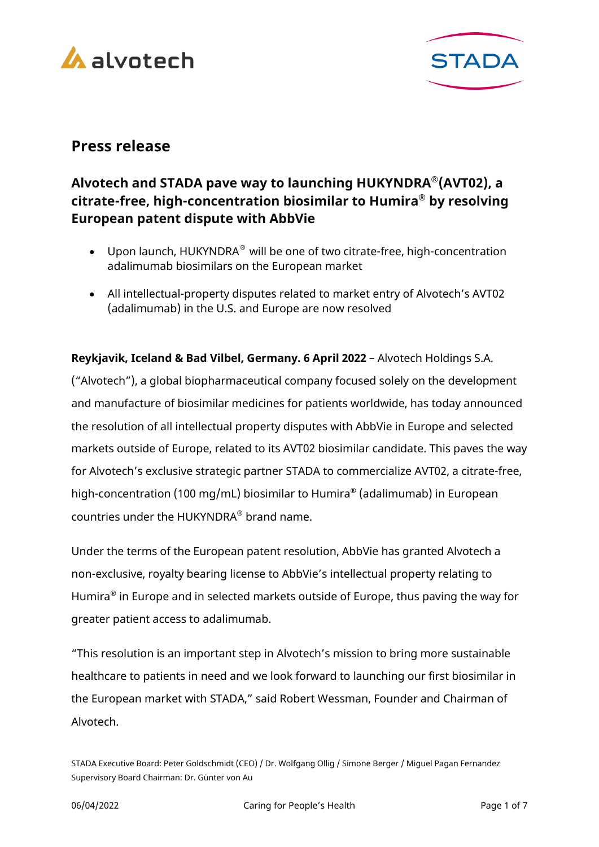



# **Press release**

# **Alvotech and STADA pave way to launching HUKYNDRA®(AVT02), a citrate-free, high-concentration biosimilar to Humira® by resolving European patent dispute with AbbVie**

- Upon launch, HUKYNDRA® will be one of two citrate-free, high-concentration adalimumab biosimilars on the European market
- All intellectual-property disputes related to market entry of Alvotech's AVT02 (adalimumab) in the U.S. and Europe are now resolved

**Reykjavik, Iceland & Bad Vilbel, Germany. 6 April 2022** – Alvotech Holdings S.A. ("Alvotech"), a global biopharmaceutical company focused solely on the development and manufacture of biosimilar medicines for patients worldwide, has today announced the resolution of all intellectual property disputes with AbbVie in Europe and selected markets outside of Europe, related to its AVT02 biosimilar candidate. This paves the way for Alvotech's exclusive strategic partner STADA to commercialize AVT02, a citrate-free, high-concentration (100 mg/mL) biosimilar to Humira® (adalimumab) in European countries under the HUKYNDRA® brand name.

Under the terms of the European patent resolution, AbbVie has granted Alvotech a non-exclusive, royalty bearing license to AbbVie's intellectual property relating to Humira® in Europe and in selected markets outside of Europe, thus paving the way for greater patient access to adalimumab.

"This resolution is an important step in Alvotech's mission to bring more sustainable healthcare to patients in need and we look forward to launching our first biosimilar in the European market with STADA," said Robert Wessman, Founder and Chairman of Alvotech.

STADA Executive Board: Peter Goldschmidt (CEO) / Dr. Wolfgang Ollig / Simone Berger / Miguel Pagan Fernandez Supervisory Board Chairman: Dr. Günter von Au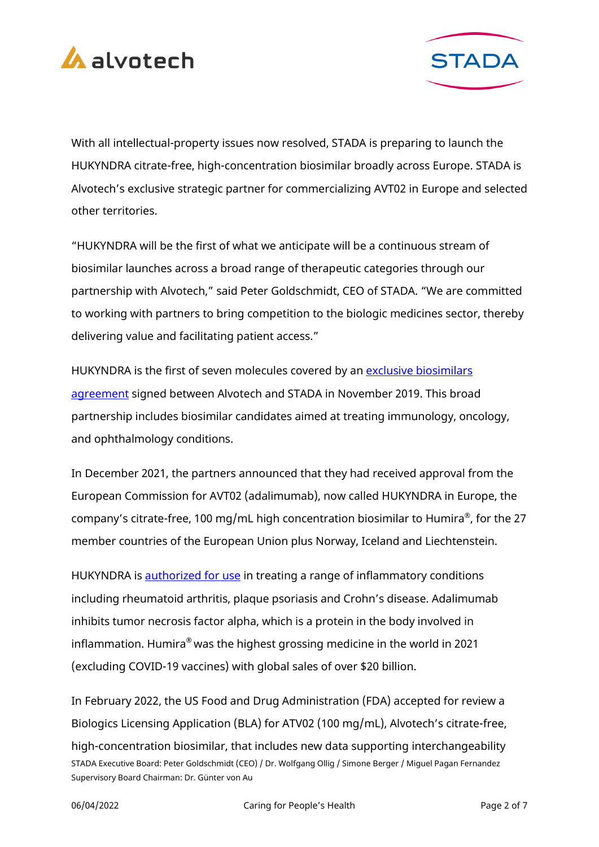



With all intellectual-property issues now resolved, STADA is preparing to launch the HUKYNDRA citrate-free, high-concentration biosimilar broadly across Europe. STADA is Alvotech's exclusive strategic partner for commercializing AVT02 in Europe and selected other territories.

"HUKYNDRA will be the first of what we anticipate will be a continuous stream of biosimilar launches across a broad range of therapeutic categories through our partnership with Alvotech," said Peter Goldschmidt, CEO of STADA. "We are committed to working with partners to bring competition to the biologic medicines sector, thereby delivering value and facilitating patient access."

HUKYNDRA is the first of seven molecules covered by an exclusive biosimilars [agreement](https://www.stada.com/blog/posts/2019/november/alvotech-and-stada-agree-on-strategic-biosimilar-partnership) signed between Alvotech and STADA in November 2019. This broad partnership includes biosimilar candidates aimed at treating immunology, oncology, and ophthalmology conditions.

In December 2021, the partners announced that they had received approval from the European Commission for AVT02 (adalimumab), now called HUKYNDRA in Europe, the company's citrate-free, 100 mg/mL high concentration biosimilar to Humira®, for the 27 member countries of the European Union plus Norway, Iceland and Liechtenstein.

HUKYNDRA is [authorized for use](https://www.ema.europa.eu/en/medicines/human/EPAR/hukyndra) in treating a range of inflammatory conditions including rheumatoid arthritis, plaque psoriasis and Crohn's disease. Adalimumab inhibits tumor necrosis factor alpha, which is a protein in the body involved in inflammation. Humira® was the highest grossing medicine in the world in 2021 (excluding COVID-19 vaccines) with global sales of over \$20 billion.

STADA Executive Board: Peter Goldschmidt (CEO) / Dr. Wolfgang Ollig / Simone Berger / Miguel Pagan Fernandez Supervisory Board Chairman: Dr. Günter von Au In February 2022, the US Food and Drug Administration (FDA) accepted for review a Biologics Licensing Application (BLA) for ATV02 (100 mg/mL), Alvotech's citrate-free, high-concentration biosimilar, that includes new data supporting interchangeability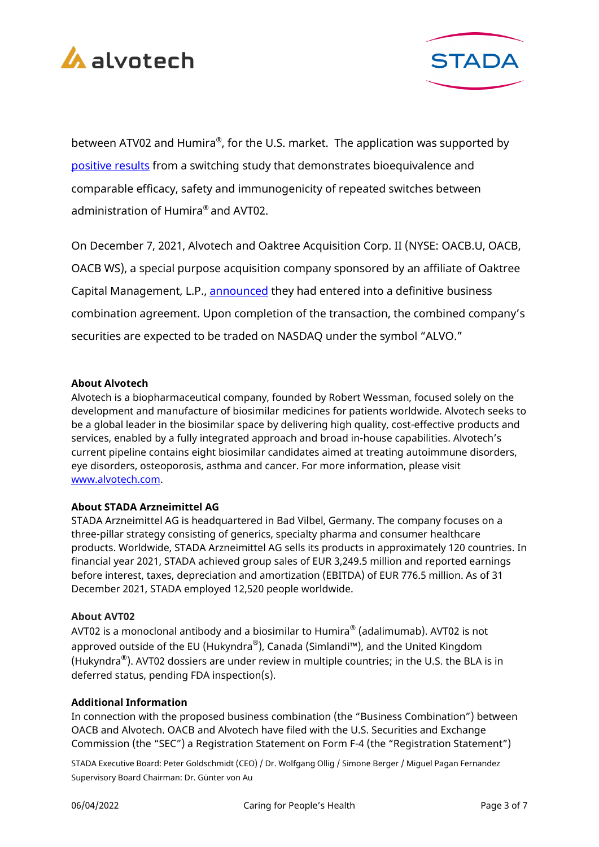



between ATV02 and Humira®, for the U.S. market. The application was supported by [positive results](https://www.alvotech.com/newsroom/alvotech-announces-positive-top-line-results-for-switching) from a switching study that demonstrates bioequivalence and comparable efficacy, safety and immunogenicity of repeated switches between administration of Humira® and AVT02.

On December 7, 2021, Alvotech and Oaktree Acquisition Corp. II (NYSE: OACB.U, OACB, OACB WS), a special purpose acquisition company sponsored by an affiliate of Oaktree Capital Management, L.P., [announced](https://www.alvotech.com/newsroom/alvotech-and-oaktree-acquisition-corp.-ii-announce-to-create-a-leading-publicly-traded-global-biopharmaceutical-company) they had entered into a definitive business combination agreement. Upon completion of the transaction, the combined company's securities are expected to be traded on NASDAQ under the symbol "ALVO."

#### **About Alvotech**

Alvotech is a biopharmaceutical company, founded by Robert Wessman, focused solely on the development and manufacture of biosimilar medicines for patients worldwide. Alvotech seeks to be a global leader in the biosimilar space by delivering high quality, cost-effective products and services, enabled by a fully integrated approach and broad in-house capabilities. Alvotech's current pipeline contains eight biosimilar candidates aimed at treating autoimmune disorders, eye disorders, osteoporosis, asthma and cancer. For more information, please visit [www.alvotech.com.](http://www.alvotech.com/)

# **About STADA Arzneimittel AG**

STADA Arzneimittel AG is headquartered in Bad Vilbel, Germany. The company focuses on a three-pillar strategy consisting of generics, specialty pharma and consumer healthcare products. Worldwide, STADA Arzneimittel AG sells its products in approximately 120 countries. In financial year 2021, STADA achieved group sales of EUR 3,249.5 million and reported earnings before interest, taxes, depreciation and amortization (EBITDA) of EUR 776.5 million. As of 31 December 2021, STADA employed 12,520 people worldwide.

#### **About AVT02**

AVT02 is a monoclonal antibody and a biosimilar to Humira<sup>®</sup> (adalimumab). AVT02 is not approved outside of the EU (Hukyndra®), Canada (Simlandi™), and the United Kingdom (Hukyndra®). AVT02 dossiers are under review in multiple countries; in the U.S. the BLA is in deferred status, pending FDA inspection(s).

#### **Additional Information**

In connection with the proposed business combination (the "Business Combination") between OACB and Alvotech. OACB and Alvotech have filed with the U.S. Securities and Exchange Commission (the "SEC") a Registration Statement on Form F-4 (the "Registration Statement")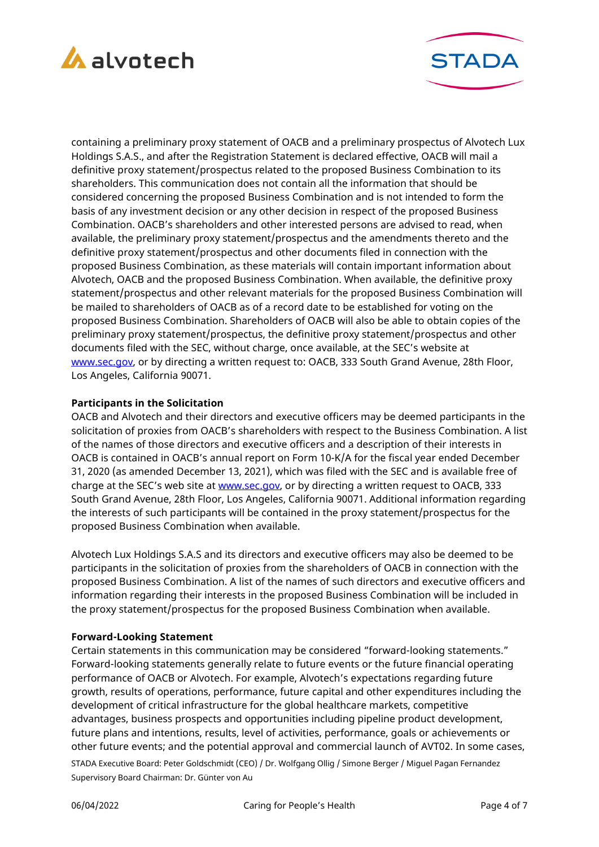



containing a preliminary proxy statement of OACB and a preliminary prospectus of Alvotech Lux Holdings S.A.S., and after the Registration Statement is declared effective, OACB will mail a definitive proxy statement/prospectus related to the proposed Business Combination to its shareholders. This communication does not contain all the information that should be considered concerning the proposed Business Combination and is not intended to form the basis of any investment decision or any other decision in respect of the proposed Business Combination. OACB's shareholders and other interested persons are advised to read, when available, the preliminary proxy statement/prospectus and the amendments thereto and the definitive proxy statement/prospectus and other documents filed in connection with the proposed Business Combination, as these materials will contain important information about Alvotech, OACB and the proposed Business Combination. When available, the definitive proxy statement/prospectus and other relevant materials for the proposed Business Combination will be mailed to shareholders of OACB as of a record date to be established for voting on the proposed Business Combination. Shareholders of OACB will also be able to obtain copies of the preliminary proxy statement/prospectus, the definitive proxy statement/prospectus and other documents filed with the SEC, without charge, once available, at the SEC's website at [www.sec.gov,](https://cts.businesswire.com/ct/CT?id=smartlink&url=http%3A%2F%2Fwww.sec.gov&esheet=52551616&newsitemid=20211215005989&lan=en-US&anchor=www.sec.gov&index=3&md5=ef8ee0617b11cc7703b74a6b2cdd4bd6) or by directing a written request to: OACB, 333 South Grand Avenue, 28th Floor, Los Angeles, California 90071.

#### **Participants in the Solicitation**

OACB and Alvotech and their directors and executive officers may be deemed participants in the solicitation of proxies from OACB's shareholders with respect to the Business Combination. A list of the names of those directors and executive officers and a description of their interests in OACB is contained in OACB's annual report on Form 10-K/A for the fiscal year ended December 31, 2020 (as amended December 13, 2021), which was filed with the SEC and is available free of charge at the SEC's web site at [www.sec.gov,](https://cts.businesswire.com/ct/CT?id=smartlink&url=http%3A%2F%2Fwww.sec.gov&esheet=52551616&newsitemid=20211215005989&lan=en-US&anchor=www.sec.gov&index=4&md5=52cfc43ef851cce043ea4a48e60e9981) or by directing a written request to OACB, 333 South Grand Avenue, 28th Floor, Los Angeles, California 90071. Additional information regarding the interests of such participants will be contained in the proxy statement/prospectus for the proposed Business Combination when available.

Alvotech Lux Holdings S.A.S and its directors and executive officers may also be deemed to be participants in the solicitation of proxies from the shareholders of OACB in connection with the proposed Business Combination. A list of the names of such directors and executive officers and information regarding their interests in the proposed Business Combination will be included in the proxy statement/prospectus for the proposed Business Combination when available.

#### **Forward-Looking Statement**

STADA Executive Board: Peter Goldschmidt (CEO) / Dr. Wolfgang Ollig / Simone Berger / Miguel Pagan Fernandez Supervisory Board Chairman: Dr. Günter von Au Certain statements in this communication may be considered "forward-looking statements." Forward-looking statements generally relate to future events or the future financial operating performance of OACB or Alvotech. For example, Alvotech's expectations regarding future growth, results of operations, performance, future capital and other expenditures including the development of critical infrastructure for the global healthcare markets, competitive advantages, business prospects and opportunities including pipeline product development, future plans and intentions, results, level of activities, performance, goals or achievements or other future events; and the potential approval and commercial launch of AVT02. In some cases,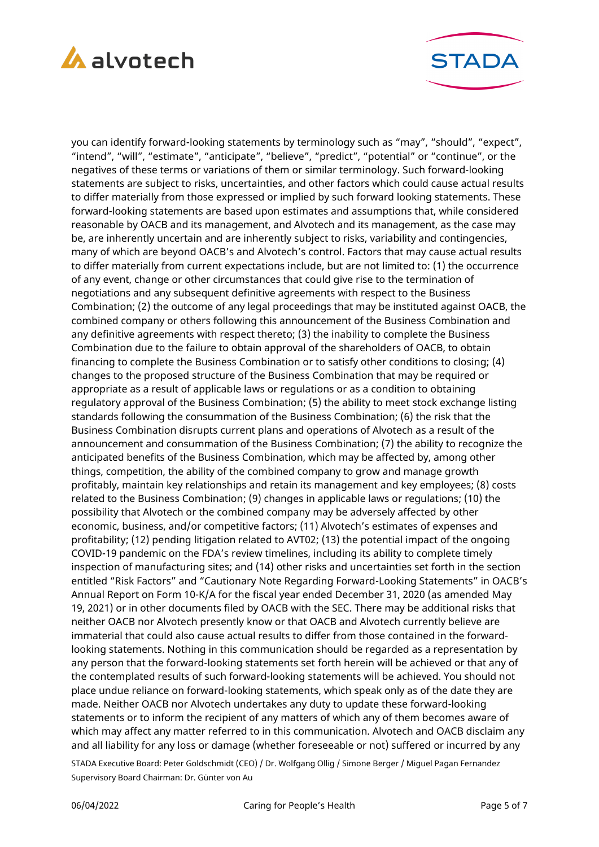



you can identify forward-looking statements by terminology such as "may", "should", "expect", "intend", "will", "estimate", "anticipate", "believe", "predict", "potential" or "continue", or the negatives of these terms or variations of them or similar terminology. Such forward-looking statements are subject to risks, uncertainties, and other factors which could cause actual results to differ materially from those expressed or implied by such forward looking statements. These forward-looking statements are based upon estimates and assumptions that, while considered reasonable by OACB and its management, and Alvotech and its management, as the case may be, are inherently uncertain and are inherently subject to risks, variability and contingencies, many of which are beyond OACB's and Alvotech's control. Factors that may cause actual results to differ materially from current expectations include, but are not limited to: (1) the occurrence of any event, change or other circumstances that could give rise to the termination of negotiations and any subsequent definitive agreements with respect to the Business Combination; (2) the outcome of any legal proceedings that may be instituted against OACB, the combined company or others following this announcement of the Business Combination and any definitive agreements with respect thereto; (3) the inability to complete the Business Combination due to the failure to obtain approval of the shareholders of OACB, to obtain financing to complete the Business Combination or to satisfy other conditions to closing; (4) changes to the proposed structure of the Business Combination that may be required or appropriate as a result of applicable laws or regulations or as a condition to obtaining regulatory approval of the Business Combination; (5) the ability to meet stock exchange listing standards following the consummation of the Business Combination; (6) the risk that the Business Combination disrupts current plans and operations of Alvotech as a result of the announcement and consummation of the Business Combination; (7) the ability to recognize the anticipated benefits of the Business Combination, which may be affected by, among other things, competition, the ability of the combined company to grow and manage growth profitably, maintain key relationships and retain its management and key employees; (8) costs related to the Business Combination; (9) changes in applicable laws or regulations; (10) the possibility that Alvotech or the combined company may be adversely affected by other economic, business, and/or competitive factors; (11) Alvotech's estimates of expenses and profitability; (12) pending litigation related to AVT02; (13) the potential impact of the ongoing COVID-19 pandemic on the FDA's review timelines, including its ability to complete timely inspection of manufacturing sites; and (14) other risks and uncertainties set forth in the section entitled "Risk Factors" and "Cautionary Note Regarding Forward-Looking Statements" in OACB's Annual Report on Form 10-K/A for the fiscal year ended December 31, 2020 (as amended May 19, 2021) or in other documents filed by OACB with the SEC. There may be additional risks that neither OACB nor Alvotech presently know or that OACB and Alvotech currently believe are immaterial that could also cause actual results to differ from those contained in the forwardlooking statements. Nothing in this communication should be regarded as a representation by any person that the forward-looking statements set forth herein will be achieved or that any of the contemplated results of such forward-looking statements will be achieved. You should not place undue reliance on forward-looking statements, which speak only as of the date they are made. Neither OACB nor Alvotech undertakes any duty to update these forward-looking statements or to inform the recipient of any matters of which any of them becomes aware of which may affect any matter referred to in this communication. Alvotech and OACB disclaim any and all liability for any loss or damage (whether foreseeable or not) suffered or incurred by any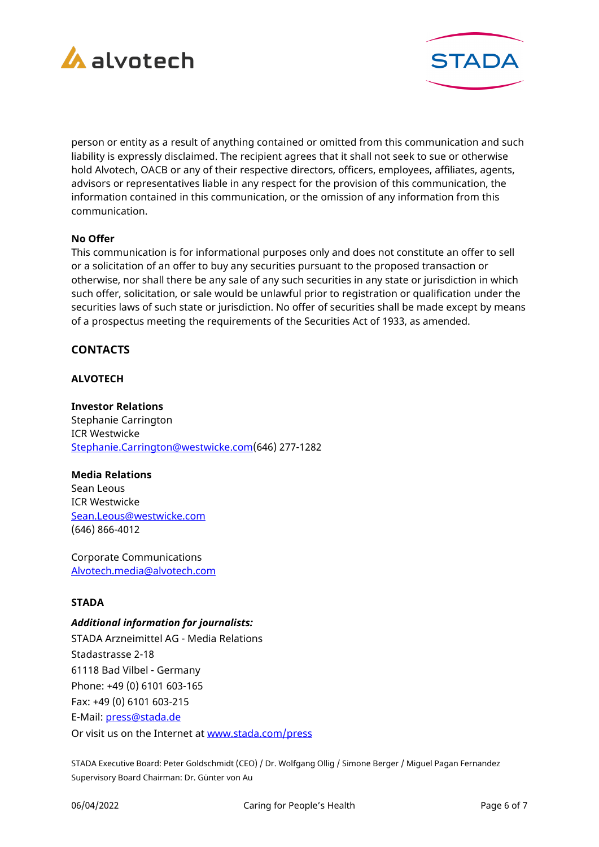



person or entity as a result of anything contained or omitted from this communication and such liability is expressly disclaimed. The recipient agrees that it shall not seek to sue or otherwise hold Alvotech, OACB or any of their respective directors, officers, employees, affiliates, agents, advisors or representatives liable in any respect for the provision of this communication, the information contained in this communication, or the omission of any information from this communication.

#### **No Offer**

This communication is for informational purposes only and does not constitute an offer to sell or a solicitation of an offer to buy any securities pursuant to the proposed transaction or otherwise, nor shall there be any sale of any such securities in any state or jurisdiction in which such offer, solicitation, or sale would be unlawful prior to registration or qualification under the securities laws of such state or jurisdiction. No offer of securities shall be made except by means of a prospectus meeting the requirements of the Securities Act of 1933, as amended.

# **CONTACTS**

# **ALVOTECH**

**Investor Relations** Stephanie Carrington ICR Westwicke [Stephanie.Carrington@westwicke.com\(](mailto:Stephanie.Carrington@westwicke.com)646) 277-1282

#### **Media Relations**

Sean Leous ICR Westwicke [Sean.Leous@westwicke.com](mailto:Sean.Leous@westwicke.com) (646) 866-4012

Corporate Communications [Alvotech.media@alvotech.com](mailto:Alvotech.media@alvotech.com)

# **STADA**

#### *Additional information for journalists:*

STADA Arzneimittel AG - Media Relations Stadastrasse 2-18 61118 Bad Vilbel - Germany Phone: +49 (0) 6101 603-165 Fax: +49 (0) 6101 603-215 E-Mail: [press@stada.de](mailto:press@stada.de) Or visit us on the Internet at [www.stada.com/press](http://www.stada.com/press)